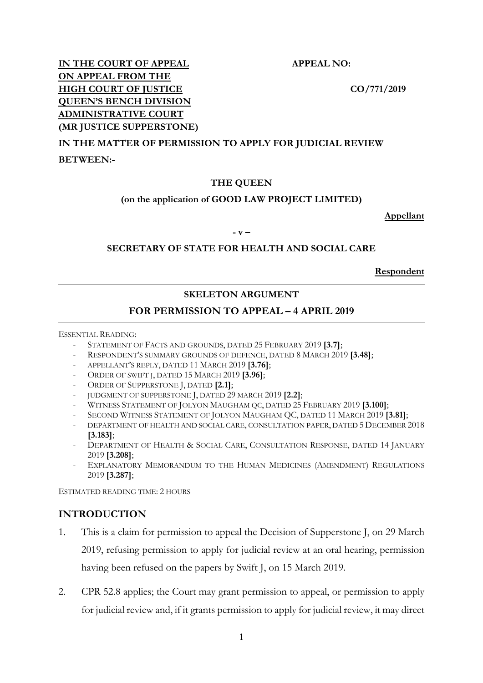1

**IN THE COURT OF APPEAL APPEAL NO: ON APPEAL FROM THE HIGH COURT OF JUSTICE** CO/771/2019 **QUEEN'S BENCH DIVISION ADMINISTRATIVE COURT (MR JUSTICE SUPPERSTONE)**

# **IN THE MATTER OF PERMISSION TO APPLY FOR JUDICIAL REVIEW**

**BETWEEN:-**

#### **THE QUEEN**

# **(on the application of GOOD LAW PROJECT LIMITED)**

**Appellant**

**- v –**

#### **SECRETARY OF STATE FOR HEALTH AND SOCIAL CARE**

**Respondent**

# **SKELETON ARGUMENT**

# **FOR PERMISSION TO APPEAL – 4 APRIL 2019**

ESSENTIAL READING:

- STATEMENT OF FACTS AND GROUNDS, DATED 25 FEBRUARY 2019 **[3.7]**;
- RESPONDENT'S SUMMARY GROUNDS OF DEFENCE, DATED 8 MARCH 2019 **[3.48]**;
- APPELLANT'S REPLY, DATED 11 MARCH 2019 **[3.76]**;
- ORDER OF SWIFT J, DATED 15 MARCH 2019 **[3.96]**;
- ORDER OF SUPPERSTONE J, DATED **[2.1]**;
- JUDGMENT OF SUPPERSTONE J, DATED 29 MARCH 2019 **[2.2]**;
- WITNESS STATEMENT OF JOLYON MAUGHAM QC, DATED 25 FEBRUARY 2019 **[3.100]**;
- SECOND WITNESS STATEMENT OF JOLYON MAUGHAM QC, DATED 11 MARCH 2019 **[3.81]**;
- DEPARTMENT OF HEALTH AND SOCIAL CARE, CONSULTATION PAPER, DATED 5 DECEMBER 2018 **[3.183]**;
- DEPARTMENT OF HEALTH & SOCIAL CARE, CONSULTATION RESPONSE, DATED 14 JANUARY 2019 **[3.208]**;
- EXPLANATORY MEMORANDUM TO THE HUMAN MEDICINES (AMENDMENT) REGULATIONS 2019 **[3.287]**;

ESTIMATED READING TIME: 2 HOURS

# **INTRODUCTION**

- 1. This is a claim for permission to appeal the Decision of Supperstone J, on 29 March 2019, refusing permission to apply for judicial review at an oral hearing, permission having been refused on the papers by Swift J, on 15 March 2019.
- 2. CPR 52.8 applies; the Court may grant permission to appeal, or permission to apply for judicial review and, if it grants permission to apply for judicial review, it may direct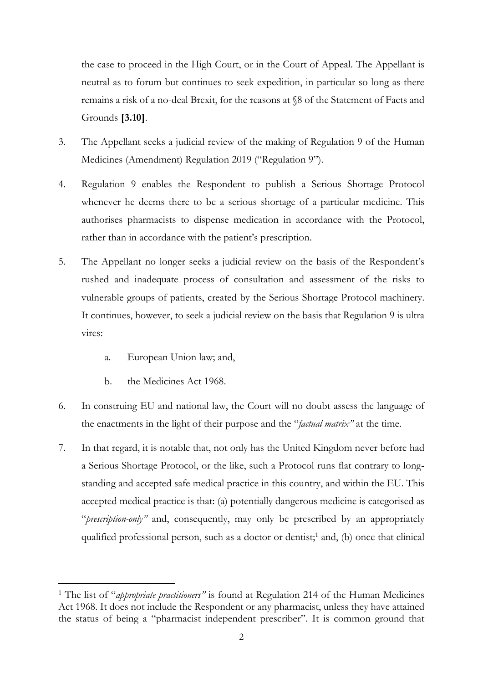the case to proceed in the High Court, or in the Court of Appeal. The Appellant is neutral as to forum but continues to seek expedition, in particular so long as there remains a risk of a no-deal Brexit, for the reasons at §8 of the Statement of Facts and Grounds **[3.10]**.

- 3. The Appellant seeks a judicial review of the making of Regulation 9 of the Human Medicines (Amendment) Regulation 2019 ("Regulation 9").
- 4. Regulation 9 enables the Respondent to publish a Serious Shortage Protocol whenever he deems there to be a serious shortage of a particular medicine. This authorises pharmacists to dispense medication in accordance with the Protocol, rather than in accordance with the patient's prescription.
- 5. The Appellant no longer seeks a judicial review on the basis of the Respondent's rushed and inadequate process of consultation and assessment of the risks to vulnerable groups of patients, created by the Serious Shortage Protocol machinery. It continues, however, to seek a judicial review on the basis that Regulation 9 is ultra vires:
	- a. European Union law; and,
	- b. the Medicines Act 1968.
- 6. In construing EU and national law, the Court will no doubt assess the language of the enactments in the light of their purpose and the "*factual matrix"* at the time.
- 7. In that regard, it is notable that, not only has the United Kingdom never before had a Serious Shortage Protocol, or the like, such a Protocol runs flat contrary to longstanding and accepted safe medical practice in this country, and within the EU. This accepted medical practice is that: (a) potentially dangerous medicine is categorised as "*prescription-only"* and, consequently, may only be prescribed by an appropriately qualified professional person, such as a doctor or dentist;<sup>1</sup> and, (b) once that clinical

<sup>&</sup>lt;sup>1</sup> The list of "*appropriate practitioners*" is found at Regulation 214 of the Human Medicines Act 1968. It does not include the Respondent or any pharmacist, unless they have attained the status of being a "pharmacist independent prescriber". It is common ground that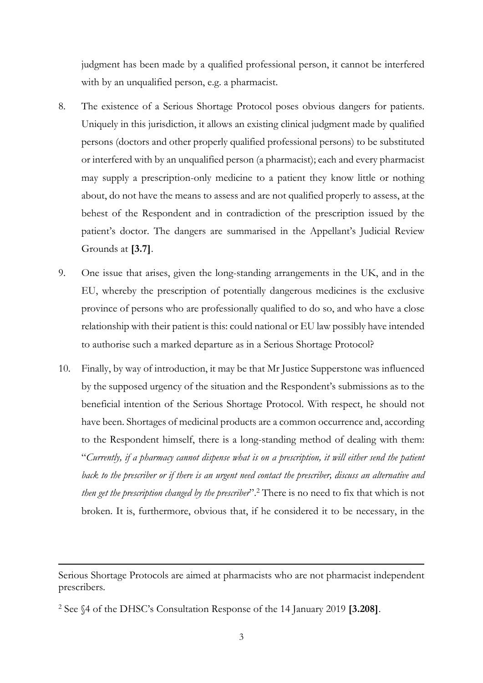judgment has been made by a qualified professional person, it cannot be interfered with by an unqualified person, e.g. a pharmacist.

- 8. The existence of a Serious Shortage Protocol poses obvious dangers for patients. Uniquely in this jurisdiction, it allows an existing clinical judgment made by qualified persons (doctors and other properly qualified professional persons) to be substituted or interfered with by an unqualified person (a pharmacist); each and every pharmacist may supply a prescription-only medicine to a patient they know little or nothing about, do not have the means to assess and are not qualified properly to assess, at the behest of the Respondent and in contradiction of the prescription issued by the patient's doctor. The dangers are summarised in the Appellant's Judicial Review Grounds at **[3.7]**.
- 9. One issue that arises, given the long-standing arrangements in the UK, and in the EU, whereby the prescription of potentially dangerous medicines is the exclusive province of persons who are professionally qualified to do so, and who have a close relationship with their patient is this: could national or EU law possibly have intended to authorise such a marked departure as in a Serious Shortage Protocol?
- 10. Finally, by way of introduction, it may be that Mr Justice Supperstone was influenced by the supposed urgency of the situation and the Respondent's submissions as to the beneficial intention of the Serious Shortage Protocol. With respect, he should not have been. Shortages of medicinal products are a common occurrence and, according to the Respondent himself, there is a long-standing method of dealing with them: "*Currently, if a pharmacy cannot dispense what is on a prescription, it will either send the patient back to the prescriber or if there is an urgent need contact the prescriber, discuss an alternative and*  then get the prescription changed by the prescriber".<sup>2</sup> There is no need to fix that which is not broken. It is, furthermore, obvious that, if he considered it to be necessary, in the

Serious Shortage Protocols are aimed at pharmacists who are not pharmacist independent prescribers.

<sup>2</sup> See §4 of the DHSC's Consultation Response of the 14 January 2019 **[3.208]**.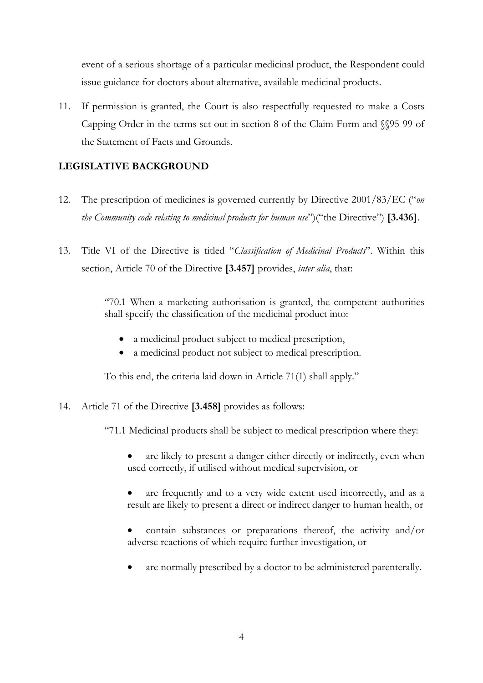event of a serious shortage of a particular medicinal product, the Respondent could issue guidance for doctors about alternative, available medicinal products.

11. If permission is granted, the Court is also respectfully requested to make a Costs Capping Order in the terms set out in section 8 of the Claim Form and §§95-99 of the Statement of Facts and Grounds.

# **LEGISLATIVE BACKGROUND**

- 12. The prescription of medicines is governed currently by Directive 2001/83/EC ("*on the Community code relating to medicinal products for human use*")("the Directive") **[3.436]**.
- 13. Title VI of the Directive is titled "*Classification of Medicinal Products*". Within this section, Article 70 of the Directive **[3.457]** provides, *inter alia*, that:

"70.1 When a marketing authorisation is granted, the competent authorities shall specify the classification of the medicinal product into:

- a medicinal product subject to medical prescription,
- a medicinal product not subject to medical prescription.

To this end, the criteria laid down in Article 71(1) shall apply."

14. Article 71 of the Directive **[3.458]** provides as follows:

"71.1 Medicinal products shall be subject to medical prescription where they:

- are likely to present a danger either directly or indirectly, even when used correctly, if utilised without medical supervision, or
- are frequently and to a very wide extent used incorrectly, and as a result are likely to present a direct or indirect danger to human health, or
- contain substances or preparations thereof, the activity and/or adverse reactions of which require further investigation, or
- are normally prescribed by a doctor to be administered parenterally.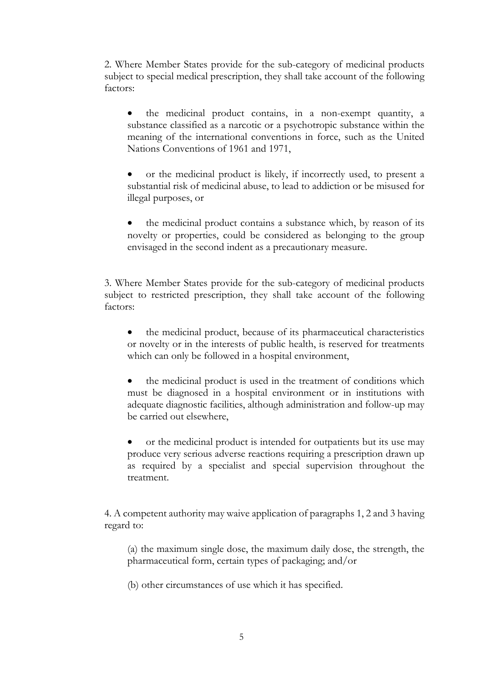2. Where Member States provide for the sub-category of medicinal products subject to special medical prescription, they shall take account of the following factors:

 the medicinal product contains, in a non-exempt quantity, a substance classified as a narcotic or a psychotropic substance within the meaning of the international conventions in force, such as the United Nations Conventions of 1961 and 1971,

 or the medicinal product is likely, if incorrectly used, to present a substantial risk of medicinal abuse, to lead to addiction or be misused for illegal purposes, or

 the medicinal product contains a substance which, by reason of its novelty or properties, could be considered as belonging to the group envisaged in the second indent as a precautionary measure.

3. Where Member States provide for the sub-category of medicinal products subject to restricted prescription, they shall take account of the following factors:

 the medicinal product, because of its pharmaceutical characteristics or novelty or in the interests of public health, is reserved for treatments which can only be followed in a hospital environment,

 the medicinal product is used in the treatment of conditions which must be diagnosed in a hospital environment or in institutions with adequate diagnostic facilities, although administration and follow-up may be carried out elsewhere,

 or the medicinal product is intended for outpatients but its use may produce very serious adverse reactions requiring a prescription drawn up as required by a specialist and special supervision throughout the treatment.

4. A competent authority may waive application of paragraphs 1, 2 and 3 having regard to:

(a) the maximum single dose, the maximum daily dose, the strength, the pharmaceutical form, certain types of packaging; and/or

(b) other circumstances of use which it has specified.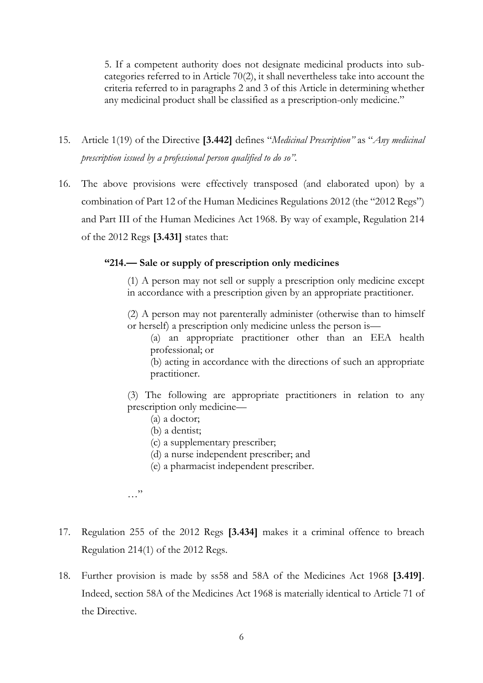5. If a competent authority does not designate medicinal products into subcategories referred to in Article 70(2), it shall nevertheless take into account the criteria referred to in paragraphs 2 and 3 of this Article in determining whether any medicinal product shall be classified as a prescription-only medicine."

- 15. Article 1(19) of the Directive **[3.442]** defines "*Medicinal Prescription"* as "*Any medicinal prescription issued by a professional person qualified to do so".*
- 16. The above provisions were effectively transposed (and elaborated upon) by a combination of Part 12 of the Human Medicines Regulations 2012 (the "2012 Regs") and Part III of the Human Medicines Act 1968. By way of example, Regulation 214 of the 2012 Regs **[3.431]** states that:

# **"214.— Sale or supply of prescription only medicines**

(1) A person may not sell or supply a prescription only medicine except in accordance with a prescription given by an appropriate practitioner.

(2) A person may not parenterally administer (otherwise than to himself or herself) a prescription only medicine unless the person is—

(a) an appropriate practitioner other than an EEA health professional; or

(b) acting in accordance with the directions of such an appropriate practitioner.

(3) The following are appropriate practitioners in relation to any prescription only medicine—

- (a) a doctor;
- (b) a dentist;
- (c) a supplementary prescriber;
- (d) a nurse independent prescriber; and
- (e) a pharmacist independent prescriber.

…"

- 17. Regulation 255 of the 2012 Regs **[3.434]** makes it a criminal offence to breach Regulation 214(1) of the 2012 Regs.
- 18. Further provision is made by ss58 and 58A of the Medicines Act 1968 **[3.419]**. Indeed, section 58A of the Medicines Act 1968 is materially identical to Article 71 of the Directive.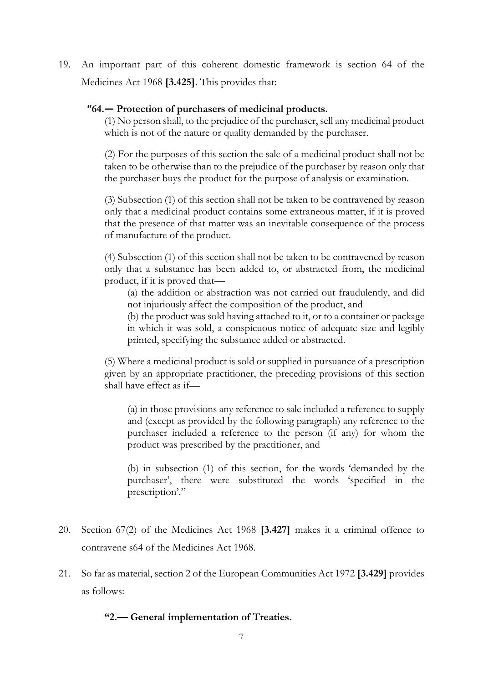19. An important part of this coherent domestic framework is section 64 of the Medicines Act 1968 **[3.425]**. This provides that:

# **"64.— Protection of purchasers of medicinal products.**

(1) No person shall, to the prejudice of the purchaser, sell any medicinal product which is not of the nature or quality demanded by the purchaser.

(2) For the purposes of this section the sale of a medicinal product shall not be taken to be otherwise than to the prejudice of the purchaser by reason only that the purchaser buys the product for the purpose of analysis or examination.

(3) Subsection (1) of this section shall not be taken to be contravened by reason only that a medicinal product contains some extraneous matter, if it is proved that the presence of that matter was an inevitable consequence of the process of manufacture of the product.

(4) Subsection (1) of this section shall not be taken to be contravened by reason only that a substance has been added to, or abstracted from, the medicinal product, if it is proved that—

(a) the addition or abstraction was not carried out fraudulently, and did not injuriously affect the composition of the product, and

(b) the product was sold having attached to it, or to a container or package in which it was sold, a conspicuous notice of adequate size and legibly printed, specifying the substance added or abstracted.

(5) Where a medicinal product is sold or supplied in pursuance of a prescription given by an appropriate practitioner, the preceding provisions of this section shall have effect as if—

(a) in those provisions any reference to sale included a reference to supply and (except as provided by the following paragraph) any reference to the purchaser included a reference to the person (if any) for whom the product was prescribed by the practitioner, and

(b) in subsection (1) of this section, for the words 'demanded by the purchaser', there were substituted the words 'specified in the prescription'."

- 20. Section 67(2) of the Medicines Act 1968 **[3.427]** makes it a criminal offence to contravene s64 of the Medicines Act 1968.
- 21. So far as material, section 2 of the European Communities Act 1972 **[3.429]** provides as follows:

**"2.— General implementation of Treaties.**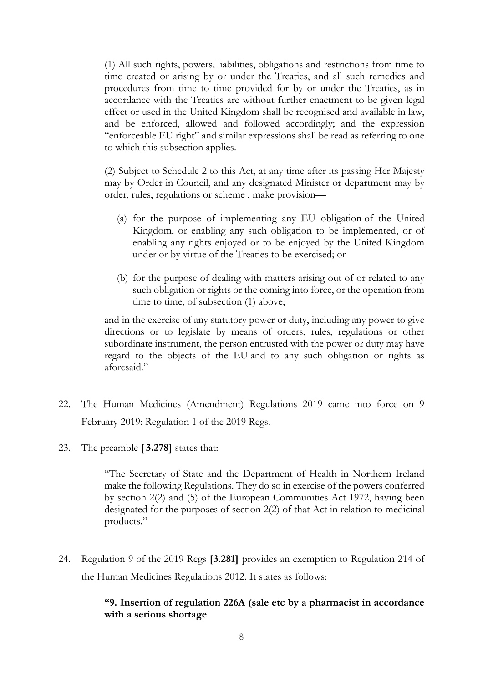(1) All such rights, powers, liabilities, obligations and restrictions from time to time created or arising by or under the Treaties, and all such remedies and procedures from time to time provided for by or under the Treaties, as in accordance with the Treaties are without further enactment to be given legal effect or used in the United Kingdom shall be recognised and available in law, and be enforced, allowed and followed accordingly; and the expression "enforceable EU right" and similar expressions shall be read as referring to one to which this subsection applies.

(2) Subject to [Schedule 2](https://login.westlaw.co.uk/maf/wluk/app/document?src=doc&linktype=ref&context=26&crumb-action=replace&docguid=I202E6D30E44911DA8D70A0E70A78ED65) to this Act, at any time after its passing Her Majesty may by Order in Council, and any designated Minister or department may by order, rules, regulations or scheme , make provision—

- (a) for the purpose of implementing any EU obligation of the United Kingdom, or enabling any such obligation to be implemented, or of enabling any rights enjoyed or to be enjoyed by the United Kingdom under or by virtue of the Treaties to be exercised; or
- (b) for the purpose of dealing with matters arising out of or related to any such obligation or rights or the coming into force, or the operation from time to time, of subsection (1) above;

and in the exercise of any statutory power or duty, including any power to give directions or to legislate by means of orders, rules, regulations or other subordinate instrument, the person entrusted with the power or duty may have regard to the objects of the EU and to any such obligation or rights as aforesaid."

- 22. The Human Medicines (Amendment) Regulations 2019 came into force on 9 February 2019: Regulation 1 of the 2019 Regs.
- 23. The preamble **[ 3.278]** states that:

"The Secretary of State and the Department of Health in Northern Ireland make the following Regulations. They do so in exercise of the powers conferred by section 2(2) and (5) of the European Communities Act 1972, having been designated for the purposes of section 2(2) of that Act in relation to medicinal products."

24. Regulation 9 of the 2019 Regs **[3.281]** provides an exemption to Regulation 214 of the Human Medicines Regulations 2012. It states as follows:

# **"9. Insertion of regulation 226A (sale etc by a pharmacist in accordance with a serious shortage**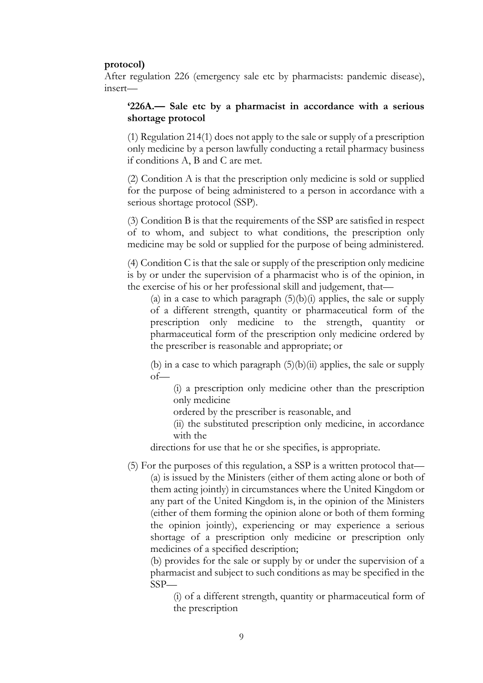#### **protocol)**

After regulation 226 (emergency sale etc by pharmacists: pandemic disease), insert—

# **'226A.— Sale etc by a pharmacist in accordance with a serious shortage protocol**

(1) Regulation 214(1) does not apply to the sale or supply of a prescription only medicine by a person lawfully conducting a retail pharmacy business if conditions A, B and C are met.

(2) Condition A is that the prescription only medicine is sold or supplied for the purpose of being administered to a person in accordance with a serious shortage protocol (SSP).

(3) Condition B is that the requirements of the SSP are satisfied in respect of to whom, and subject to what conditions, the prescription only medicine may be sold or supplied for the purpose of being administered.

(4) Condition C is that the sale or supply of the prescription only medicine is by or under the supervision of a pharmacist who is of the opinion, in the exercise of his or her professional skill and judgement, that—

(a) in a case to which paragraph  $(5)(b)(i)$  applies, the sale or supply of a different strength, quantity or pharmaceutical form of the prescription only medicine to the strength, quantity or pharmaceutical form of the prescription only medicine ordered by the prescriber is reasonable and appropriate; or

(b) in a case to which paragraph  $(5)(b)(ii)$  applies, the sale or supply of—

(i) a prescription only medicine other than the prescription only medicine

ordered by the prescriber is reasonable, and

(ii) the substituted prescription only medicine, in accordance with the

directions for use that he or she specifies, is appropriate.

(5) For the purposes of this regulation, a SSP is a written protocol that— (a) is issued by the Ministers (either of them acting alone or both of them acting jointly) in circumstances where the United Kingdom or any part of the United Kingdom is, in the opinion of the Ministers (either of them forming the opinion alone or both of them forming the opinion jointly), experiencing or may experience a serious shortage of a prescription only medicine or prescription only medicines of a specified description;

(b) provides for the sale or supply by or under the supervision of a pharmacist and subject to such conditions as may be specified in the SSP—

(i) of a different strength, quantity or pharmaceutical form of the prescription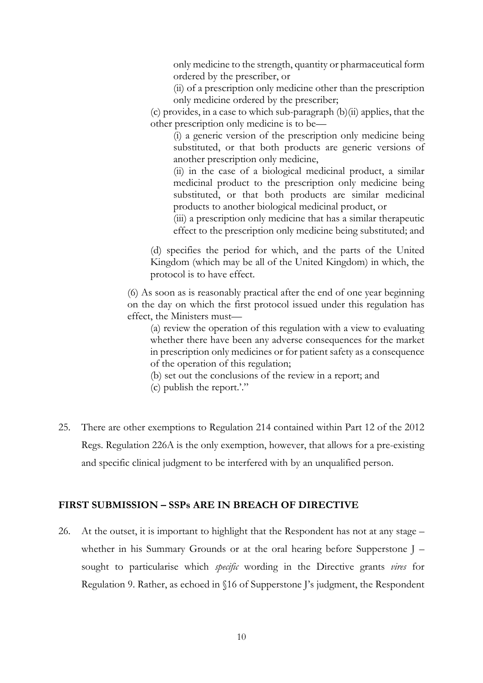only medicine to the strength, quantity or pharmaceutical form ordered by the prescriber, or

(ii) of a prescription only medicine other than the prescription only medicine ordered by the prescriber;

(c) provides, in a case to which sub-paragraph (b)(ii) applies, that the other prescription only medicine is to be—

(i) a generic version of the prescription only medicine being substituted, or that both products are generic versions of another prescription only medicine,

(ii) in the case of a biological medicinal product, a similar medicinal product to the prescription only medicine being substituted, or that both products are similar medicinal products to another biological medicinal product, or

(iii) a prescription only medicine that has a similar therapeutic effect to the prescription only medicine being substituted; and

(d) specifies the period for which, and the parts of the United Kingdom (which may be all of the United Kingdom) in which, the protocol is to have effect.

(6) As soon as is reasonably practical after the end of one year beginning on the day on which the first protocol issued under this regulation has effect, the Ministers must—

(a) review the operation of this regulation with a view to evaluating whether there have been any adverse consequences for the market in prescription only medicines or for patient safety as a consequence of the operation of this regulation;

(b) set out the conclusions of the review in a report; and

- (c) publish the report.'."
- 25. There are other exemptions to Regulation 214 contained within Part 12 of the 2012 Regs. Regulation 226A is the only exemption, however, that allows for a pre-existing and specific clinical judgment to be interfered with by an unqualified person.

# **FIRST SUBMISSION – SSPs ARE IN BREACH OF DIRECTIVE**

26. At the outset, it is important to highlight that the Respondent has not at any stage – whether in his Summary Grounds or at the oral hearing before Supperstone J – sought to particularise which *specific* wording in the Directive grants *vires* for Regulation 9. Rather, as echoed in §16 of Supperstone J's judgment, the Respondent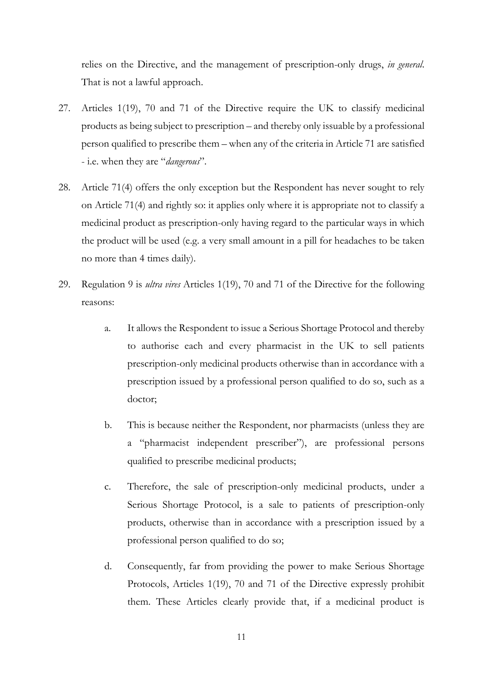relies on the Directive, and the management of prescription-only drugs, *in general*. That is not a lawful approach.

- 27. Articles 1(19), 70 and 71 of the Directive require the UK to classify medicinal products as being subject to prescription – and thereby only issuable by a professional person qualified to prescribe them – when any of the criteria in Article 71 are satisfied - i.e. when they are "*dangerous*".
- 28. Article 71(4) offers the only exception but the Respondent has never sought to rely on Article 71(4) and rightly so: it applies only where it is appropriate not to classify a medicinal product as prescription-only having regard to the particular ways in which the product will be used (e.g. a very small amount in a pill for headaches to be taken no more than 4 times daily).
- 29. Regulation 9 is *ultra vires* Articles 1(19), 70 and 71 of the Directive for the following reasons:
	- a. It allows the Respondent to issue a Serious Shortage Protocol and thereby to authorise each and every pharmacist in the UK to sell patients prescription-only medicinal products otherwise than in accordance with a prescription issued by a professional person qualified to do so, such as a doctor;
	- b. This is because neither the Respondent, nor pharmacists (unless they are a "pharmacist independent prescriber"), are professional persons qualified to prescribe medicinal products;
	- c. Therefore, the sale of prescription-only medicinal products, under a Serious Shortage Protocol, is a sale to patients of prescription-only products, otherwise than in accordance with a prescription issued by a professional person qualified to do so;
	- d. Consequently, far from providing the power to make Serious Shortage Protocols, Articles 1(19), 70 and 71 of the Directive expressly prohibit them. These Articles clearly provide that, if a medicinal product is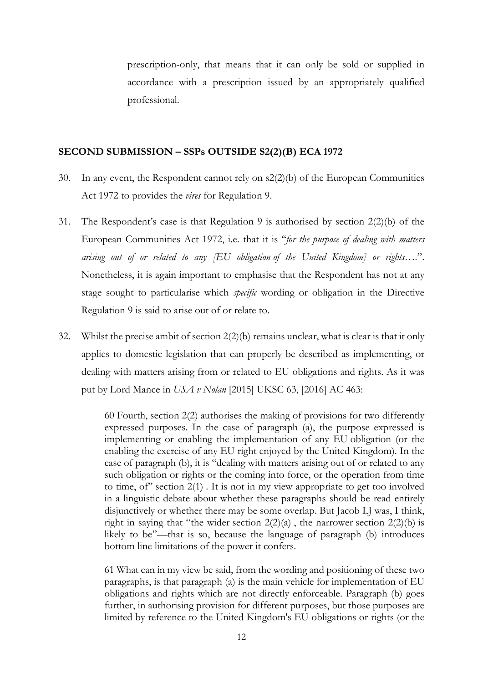prescription-only, that means that it can only be sold or supplied in accordance with a prescription issued by an appropriately qualified professional.

#### **SECOND SUBMISSION – SSPs OUTSIDE S2(2)(B) ECA 1972**

- 30. In any event, the Respondent cannot rely on s2(2)(b) of the European Communities Act 1972 to provides the *vires* for Regulation 9.
- 31. The Respondent's case is that Regulation 9 is authorised by section 2(2)(b) of the European Communities Act 1972, i.e. that it is "*for the purpose of dealing with matters arising out of or related to any [EU obligation of the United Kingdom] or rights….*". Nonetheless, it is again important to emphasise that the Respondent has not at any stage sought to particularise which *specific* wording or obligation in the Directive Regulation 9 is said to arise out of or relate to.
- 32. Whilst the precise ambit of section 2(2)(b) remains unclear, what is clear is that it only applies to domestic legislation that can properly be described as implementing, or dealing with matters arising from or related to EU obligations and rights. As it was put by Lord Mance in *USA v Nolan* [2015] UKSC 63, [2016] AC 463:

60 Fourth, [section 2\(2\)](https://login.westlaw.co.uk/maf/wluk/app/document?src=doc&linktype=ref&context=14&crumb-action=replace&docguid=I12B30A80E44911DA8D70A0E70A78ED65) authorises the making of provisions for two differently expressed purposes. In the case of paragraph (a), the purpose expressed is implementing or enabling the implementation of any EU obligation (or the enabling the exercise of any EU right enjoyed by the United Kingdom). In the case of paragraph (b), it is "dealing with matters arising out of or related to any such obligation or rights or the coming into force, or the operation from time to time, of section  $2(1)$ . It is not in my view appropriate to get too involved in a linguistic debate about whether these paragraphs should be read entirely disjunctively or whether there may be some overlap. But Jacob LJ was, I think, right in saying that "the wider section  $2(2)(a)$ , the narrower section  $2(2)(b)$  is likely to be"—that is so, because the language of paragraph (b) introduces bottom line limitations of the power it confers.

61 What can in my view be said, from the wording and positioning of these two paragraphs, is that paragraph (a) is the main vehicle for implementation of EU obligations and rights which are not directly enforceable. Paragraph (b) goes further, in authorising provision for different purposes, but those purposes are limited by reference to the United Kingdom's EU obligations or rights (or the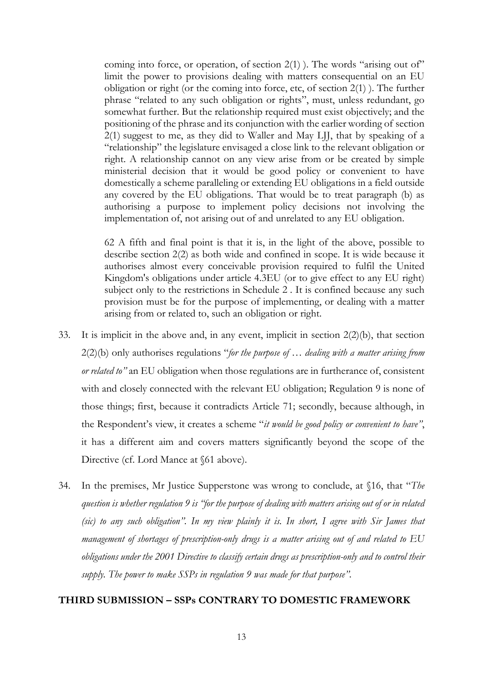coming into force, or operation, of [section 2\(1\)](https://login.westlaw.co.uk/maf/wluk/app/document?src=doc&linktype=ref&context=14&crumb-action=replace&docguid=I12B30A80E44911DA8D70A0E70A78ED65) ). The words "arising out of" limit the power to provisions dealing with matters consequential on an EU obligation or right (or the coming into force, etc, of [section 2\(1\)](https://login.westlaw.co.uk/maf/wluk/app/document?src=doc&linktype=ref&context=14&crumb-action=replace&docguid=I12B30A80E44911DA8D70A0E70A78ED65) ). The further phrase "related to any such obligation or rights", must, unless redundant, go somewhat further. But the relationship required must exist objectively; and the positioning of the phrase and its conjunction with the earlier wording of [section](https://login.westlaw.co.uk/maf/wluk/app/document?src=doc&linktype=ref&context=14&crumb-action=replace&docguid=I12B30A80E44911DA8D70A0E70A78ED65)  [2\(1\)](https://login.westlaw.co.uk/maf/wluk/app/document?src=doc&linktype=ref&context=14&crumb-action=replace&docguid=I12B30A80E44911DA8D70A0E70A78ED65) suggest to me, as they did to Waller and May LJJ, that by speaking of a "relationship" the legislature envisaged a close link to the relevant obligation or right. A relationship cannot on any view arise from or be created by simple ministerial decision that it would be good policy or convenient to have domestically a scheme paralleling or extending EU obligations in a field outside any covered by the EU obligations. That would be to treat paragraph (b) as authorising a purpose to implement policy decisions not involving the implementation of, not arising out of and unrelated to any EU obligation.

62 A fifth and final point is that it is, in the light of the above, possible to describe [section 2\(2\)](https://login.westlaw.co.uk/maf/wluk/app/document?src=doc&linktype=ref&context=14&crumb-action=replace&docguid=I7408A4C0E44911DA8D70A0E70A78ED65) as both wide and confined in scope. It is wide because it authorises almost every conceivable provision required to fulfil the United Kingdom's obligations under article 4.3EU (or to give effect to any EU right) subject only to the restrictions in [Schedule 2](https://login.westlaw.co.uk/maf/wluk/app/document?src=doc&linktype=ref&context=14&crumb-action=replace&docguid=IE9C41480E44C11DA8D70A0E70A78ED65) . It is confined because any such provision must be for the purpose of implementing, or dealing with a matter arising from or related to, such an obligation or right.

- 33. It is implicit in the above and, in any event, implicit in section 2(2)(b), that section 2(2)(b) only authorises regulations "*for the purpose of … dealing with a matter arising from or related to"* an EU obligation when those regulations are in furtherance of, consistent with and closely connected with the relevant EU obligation; Regulation 9 is none of those things; first, because it contradicts Article 71; secondly, because although, in the Respondent's view, it creates a scheme "*it would be good policy or convenient to have"*, it has a different aim and covers matters significantly beyond the scope of the Directive (cf. Lord Mance at §61 above).
- 34. In the premises, Mr Justice Supperstone was wrong to conclude, at §16, that "*The question is whether regulation 9 is "for the purpose of dealing with matters arising out of or in related (sic) to any such obligation". In my view plainly it is. In short, I agree with Sir James that management of shortages of prescription-only drugs is a matter arising out of and related to EU obligations under the 2001 Directive to classify certain drugs as prescription-only and to control their supply. The power to make SSPs in regulation 9 was made for that purpose"*.

#### **THIRD SUBMISSION – SSPs CONTRARY TO DOMESTIC FRAMEWORK**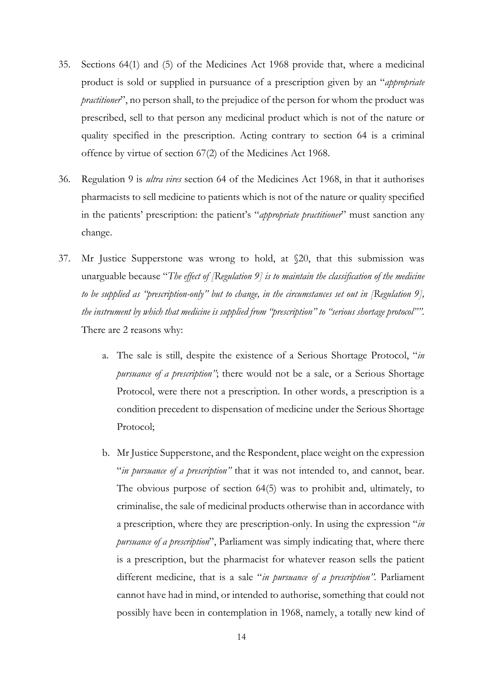- 35. Sections 64(1) and (5) of the Medicines Act 1968 provide that, where a medicinal product is sold or supplied in pursuance of a prescription given by an "*appropriate practitioner*", no person shall, to the prejudice of the person for whom the product was prescribed, sell to that person any medicinal product which is not of the nature or quality specified in the prescription. Acting contrary to section 64 is a criminal offence by virtue of section 67(2) of the Medicines Act 1968.
- 36. Regulation 9 is *ultra vires* section 64 of the Medicines Act 1968, in that it authorises pharmacists to sell medicine to patients which is not of the nature or quality specified in the patients' prescription: the patient's "*appropriate practitioner*" must sanction any change.
- 37. Mr Justice Supperstone was wrong to hold, at §20, that this submission was unarguable because "*The effect of [Regulation 9] is to maintain the classification of the medicine to be supplied as "prescription-only" but to change, in the circumstances set out in [Regulation 9], the instrument by which that medicine is supplied from "prescription" to "serious shortage protocol"".* There are 2 reasons why:
	- a. The sale is still, despite the existence of a Serious Shortage Protocol, "*in pursuance of a prescription"*; there would not be a sale, or a Serious Shortage Protocol, were there not a prescription. In other words, a prescription is a condition precedent to dispensation of medicine under the Serious Shortage Protocol;
	- b. Mr Justice Supperstone, and the Respondent, place weight on the expression "*in pursuance of a prescription"* that it was not intended to, and cannot, bear. The obvious purpose of section 64(5) was to prohibit and, ultimately, to criminalise, the sale of medicinal products otherwise than in accordance with a prescription, where they are prescription-only. In using the expression "*in pursuance of a prescription*", Parliament was simply indicating that, where there is a prescription, but the pharmacist for whatever reason sells the patient different medicine, that is a sale "*in pursuance of a prescription".* Parliament cannot have had in mind, or intended to authorise, something that could not possibly have been in contemplation in 1968, namely, a totally new kind of